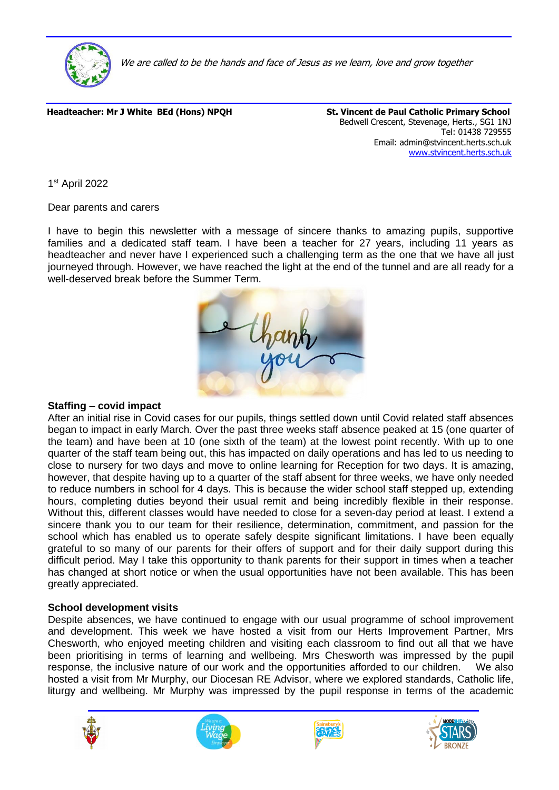

We are called to be the hands and face of Jesus as we learn, love and grow together

Headteacher: Mr J White BEd (Hons) NPQH St. Vincent de Paul Catholic Primary School

Bedwell Crescent, Stevenage, Herts., SG1 1NJ Tel: 01438 729555 Email: admin@stvincent.herts.sch.uk [www.stvincent.herts.sch.uk](http://www.stvincent.herts.sch.uk/)

1 st April 2022

Dear parents and carers

I have to begin this newsletter with a message of sincere thanks to amazing pupils, supportive families and a dedicated staff team. I have been a teacher for 27 years, including 11 years as headteacher and never have I experienced such a challenging term as the one that we have all just journeyed through. However, we have reached the light at the end of the tunnel and are all ready for a well-deserved break before the Summer Term.

| thank |
|-------|

### **Staffing – covid impact**

After an initial rise in Covid cases for our pupils, things settled down until Covid related staff absences began to impact in early March. Over the past three weeks staff absence peaked at 15 (one quarter of the team) and have been at 10 (one sixth of the team) at the lowest point recently. With up to one quarter of the staff team being out, this has impacted on daily operations and has led to us needing to close to nursery for two days and move to online learning for Reception for two days. It is amazing, however, that despite having up to a quarter of the staff absent for three weeks, we have only needed to reduce numbers in school for 4 days. This is because the wider school staff stepped up, extending hours, completing duties beyond their usual remit and being incredibly flexible in their response. Without this, different classes would have needed to close for a seven-day period at least. I extend a sincere thank you to our team for their resilience, determination, commitment, and passion for the school which has enabled us to operate safely despite significant limitations. I have been equally grateful to so many of our parents for their offers of support and for their daily support during this difficult period. May I take this opportunity to thank parents for their support in times when a teacher has changed at short notice or when the usual opportunities have not been available. This has been greatly appreciated.

### **School development visits**

Despite absences, we have continued to engage with our usual programme of school improvement and development. This week we have hosted a visit from our Herts Improvement Partner, Mrs Chesworth, who enjoyed meeting children and visiting each classroom to find out all that we have been prioritising in terms of learning and wellbeing. Mrs Chesworth was impressed by the pupil response, the inclusive nature of our work and the opportunities afforded to our children. We also hosted a visit from Mr Murphy, our Diocesan RE Advisor, where we explored standards, Catholic life, liturgy and wellbeing. Mr Murphy was impressed by the pupil response in terms of the academic







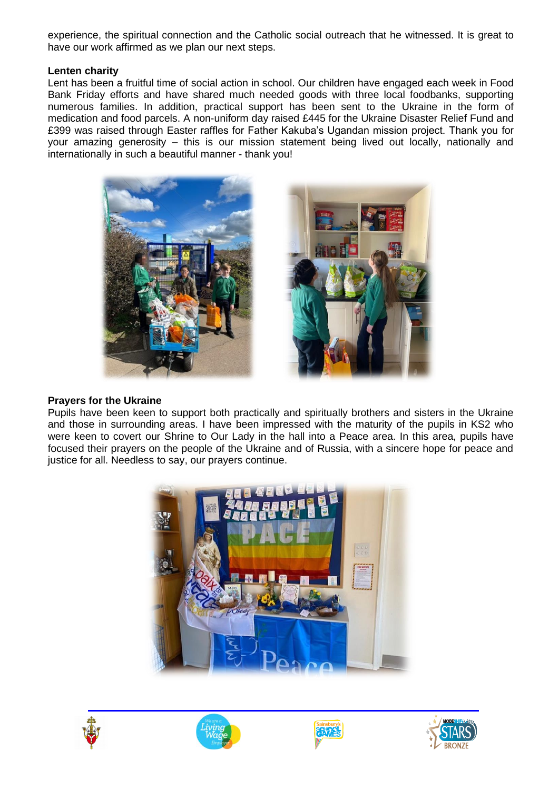experience, the spiritual connection and the Catholic social outreach that he witnessed. It is great to have our work affirmed as we plan our next steps.

## **Lenten charity**

Lent has been a fruitful time of social action in school. Our children have engaged each week in Food Bank Friday efforts and have shared much needed goods with three local foodbanks, supporting numerous families. In addition, practical support has been sent to the Ukraine in the form of medication and food parcels. A non-uniform day raised £445 for the Ukraine Disaster Relief Fund and £399 was raised through Easter raffles for Father Kakuba's Ugandan mission project. Thank you for your amazing generosity – this is our mission statement being lived out locally, nationally and internationally in such a beautiful manner - thank you!



### **Prayers for the Ukraine**

Pupils have been keen to support both practically and spiritually brothers and sisters in the Ukraine and those in surrounding areas. I have been impressed with the maturity of the pupils in KS2 who were keen to covert our Shrine to Our Lady in the hall into a Peace area. In this area, pupils have focused their prayers on the people of the Ukraine and of Russia, with a sincere hope for peace and justice for all. Needless to say, our prayers continue.









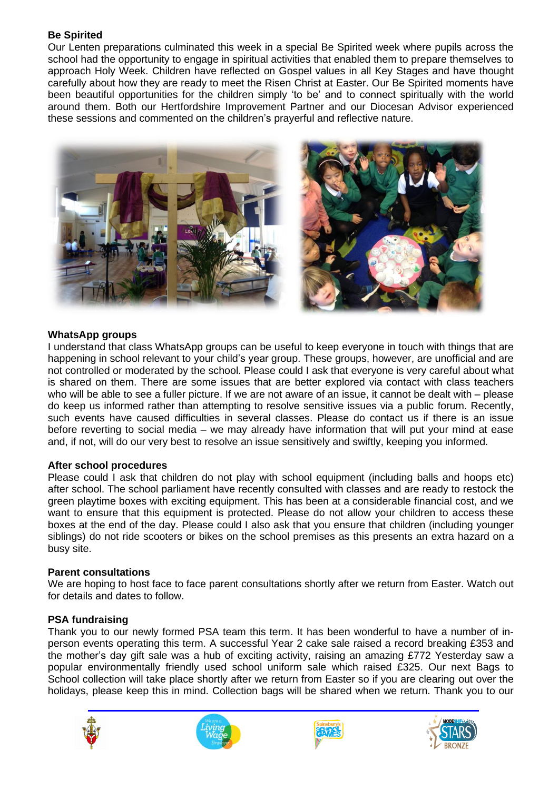# **Be Spirited**

Our Lenten preparations culminated this week in a special Be Spirited week where pupils across the school had the opportunity to engage in spiritual activities that enabled them to prepare themselves to approach Holy Week. Children have reflected on Gospel values in all Key Stages and have thought carefully about how they are ready to meet the Risen Christ at Easter. Our Be Spirited moments have been beautiful opportunities for the children simply 'to be' and to connect spiritually with the world around them. Both our Hertfordshire Improvement Partner and our Diocesan Advisor experienced these sessions and commented on the children's prayerful and reflective nature.



### **WhatsApp groups**

I understand that class WhatsApp groups can be useful to keep everyone in touch with things that are happening in school relevant to your child's year group. These groups, however, are unofficial and are not controlled or moderated by the school. Please could I ask that everyone is very careful about what is shared on them. There are some issues that are better explored via contact with class teachers who will be able to see a fuller picture. If we are not aware of an issue, it cannot be dealt with – please do keep us informed rather than attempting to resolve sensitive issues via a public forum. Recently, such events have caused difficulties in several classes. Please do contact us if there is an issue before reverting to social media – we may already have information that will put your mind at ease and, if not, will do our very best to resolve an issue sensitively and swiftly, keeping you informed.

### **After school procedures**

Please could I ask that children do not play with school equipment (including balls and hoops etc) after school. The school parliament have recently consulted with classes and are ready to restock the green playtime boxes with exciting equipment. This has been at a considerable financial cost, and we want to ensure that this equipment is protected. Please do not allow your children to access these boxes at the end of the day. Please could I also ask that you ensure that children (including younger siblings) do not ride scooters or bikes on the school premises as this presents an extra hazard on a busy site.

### **Parent consultations**

We are hoping to host face to face parent consultations shortly after we return from Easter. Watch out for details and dates to follow.

## **PSA fundraising**

Thank you to our newly formed PSA team this term. It has been wonderful to have a number of inperson events operating this term. A successful Year 2 cake sale raised a record breaking £353 and the mother's day gift sale was a hub of exciting activity, raising an amazing £772 Yesterday saw a popular environmentally friendly used school uniform sale which raised £325. Our next Bags to School collection will take place shortly after we return from Easter so if you are clearing out over the holidays, please keep this in mind. Collection bags will be shared when we return. Thank you to our







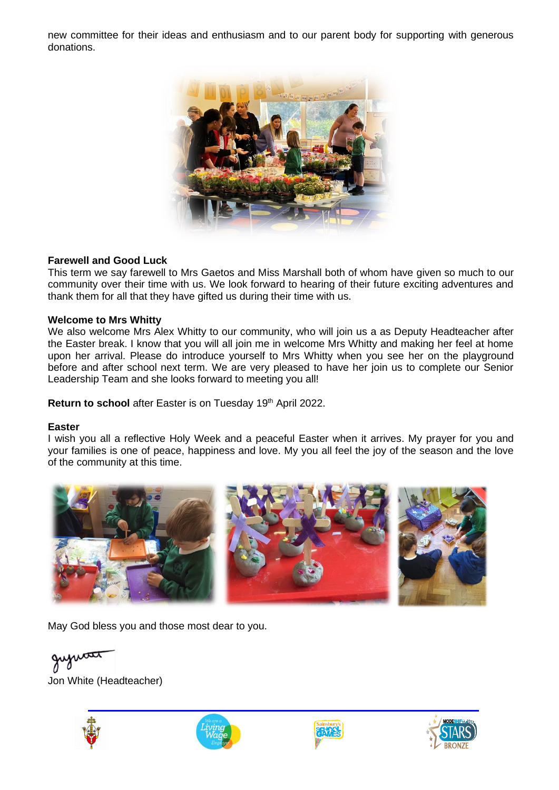new committee for their ideas and enthusiasm and to our parent body for supporting with generous donations.



### **Farewell and Good Luck**

This term we say farewell to Mrs Gaetos and Miss Marshall both of whom have given so much to our community over their time with us. We look forward to hearing of their future exciting adventures and thank them for all that they have gifted us during their time with us.

#### **Welcome to Mrs Whitty**

We also welcome Mrs Alex Whitty to our community, who will join us a as Deputy Headteacher after the Easter break. I know that you will all join me in welcome Mrs Whitty and making her feel at home upon her arrival. Please do introduce yourself to Mrs Whitty when you see her on the playground before and after school next term. We are very pleased to have her join us to complete our Senior Leadership Team and she looks forward to meeting you all!

Return to school after Easter is on Tuesday 19<sup>th</sup> April 2022.

#### **Easter**

I wish you all a reflective Holy Week and a peaceful Easter when it arrives. My prayer for you and your families is one of peace, happiness and love. My you all feel the joy of the season and the love of the community at this time.



May God bless you and those most dear to you.